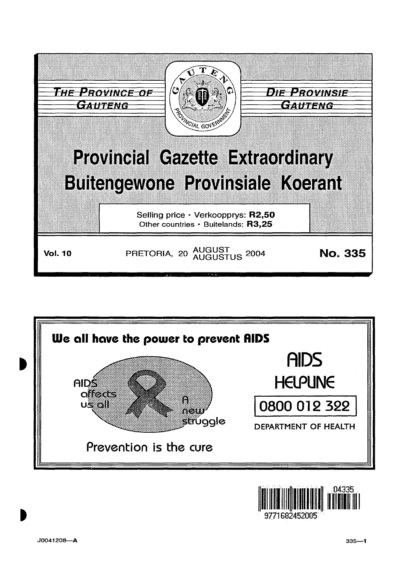



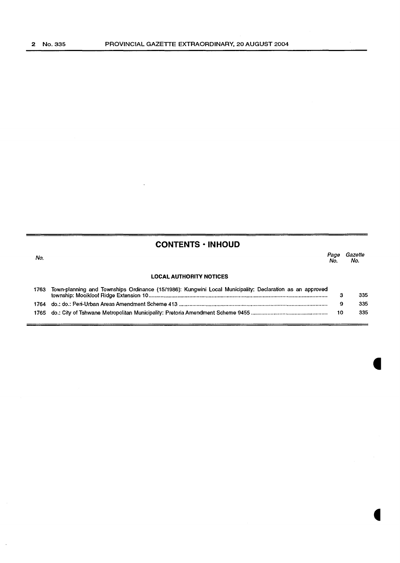#### **CONTENTS • INHOUD**

No. Page Gazette No. No. **LOCAL AUTHORITY NOTICES** 

| 1763 | Town-planning and Townships Ordinance (15/1986): Kungwini Local Municipality: Declaration as an approved | 335 |
|------|----------------------------------------------------------------------------------------------------------|-----|
|      |                                                                                                          | 335 |
|      |                                                                                                          | 335 |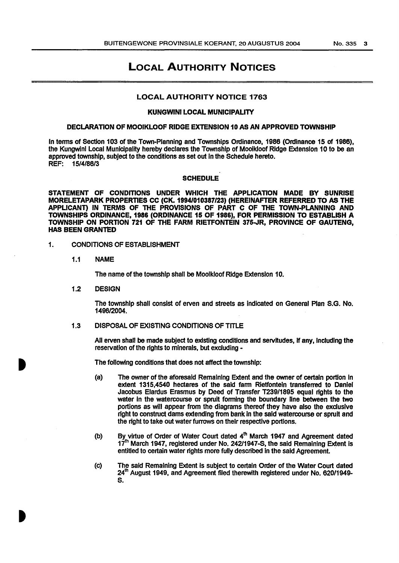#### LOCAL AUTHORITY NOTICES

#### LOCAL AUTHORITY NOTICE 1763

#### KUNGWINI LOCAL MUNICIPALITY

#### DECLARATION OF MOOIKLOOF RIDGE EXTENSION 10 AS AN APPROVED TOWNSHIP

In terms of Section 103 of the Town-Planning and Townships Ordinance, 1986 (Ordinance 15 of 1986), the Kungwini Local Municipality hereby declares the Township of Mooikloof Ridge Extension 10 to be an approved township, subject to the conditions as set out in the Schedule hereto. REF: 15/4/86/3

#### **SCHEDULE**

STATEMENT OF CONDITIONS UNDER WHICH THE APPLICATION MADE BY SUNRISE MORELETAPARK PROPERTIES CC (CK. 1994/010387/23) (HEREINAFTER REFERRED TO AS THE APPLICANT) IN TERMS OF THE PROVISIONS OF PART C OF THE TOWN-PLANNING AND TOWNSHIPS ORDINANCE, 1986 (ORDINANCE 15 OF 1986), FOR PERMISSION TO ESTABLISH A TOWNSHIP ON PORTION 721 OF THE FARM RIETFONTEIN 375-JR, PROVINCE OF GAUTENG, HAS BEEN GRANTED

- 1. CONDITIONS OF ESTABLISHMENT
	- 1.1 NAME

The name of the township shall be Moolkloof Ridge Extension 10.

1.2 DESIGN

The township shall consist of erven and streets as Indicated on General Plan S.G. No. 1496/2004.

1.3 DISPOSAL OF EXISTING CONDITIONS OF TITLE

All erven shall be made subject to existing conditions and servitudes, If any, Including the reservation of the rights to minerals, but excluding -

The following conditions that does not affect the township:

- (a) The owner of the aforesaid Remaining Extent and the owner of certain portion In extent 1315,4540 hectares of the said fann Rietfonteln transferred to Daniel Jacobus Elardus Erasmus by Deed of Transfer T239/1895 equal rights to the water in the watercourse or spruit forming the boundary line between the two portions as will appear from the diagrams thereof they have also the exclusive right to construct dams extending from bank In the said watercourse or sprult and the right to take out water furrows on their respective portions.
- (b) By virtue of Order of Water Court dated  $4<sup>th</sup>$  March 1947 and Agreement dated  $17<sup>th</sup>$  March 1947, registered under No. 242/1947-S, the said Remaining Extent is entitled to certain water rights more fully described in the said Agreement.
- (c) The said Remaining Extent Is subject to certain Order of the Water Court dated 24<sup>th</sup> August 1949, and Agreement filed therewith registered under No. 620/1949s.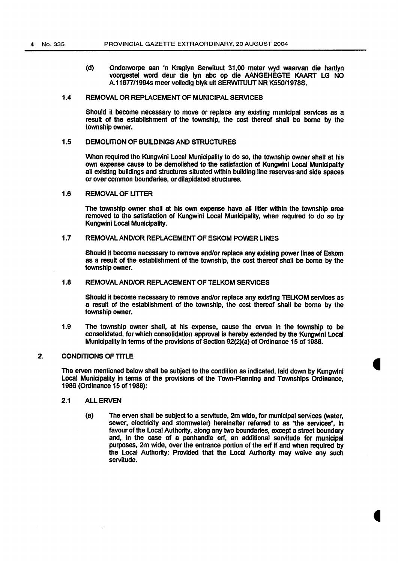(d) Onderworpe aan 'n Kraglyn Serwituut 31,00 meter wyd waarvan die hartlyn voorgestel word deur die lyn abc op die AANGEHEGTE KAART LG NO A.11677/1994s meervolledig blyk uit SERWJTUUT NR K550/1978S.

#### 1.4 REMOVAL OR REPLACEMENT OF MUNICIPAL SERVICES

Should it become necessary to move or replace any existing municipal services as a result of the establishment of the township, the cost thereof shall be borne by the township owner.

#### 1.5 DEMOLITION OF BUILDINGS AND STRUCTURES

When required the Kungwinl Local Municipality to do so, the township owner shall at his own expense cause to be demolished to the satisfaction of Kungwini Local Municipality all existing buildings and structures situated within building line reserves·and side spaces or over common boundaries, or dilapidated structures.

#### 1.6 REMOVAL OF LITTER

The township owner shall at his own expense have all litter within the township area removed to the satisfaction of Kungwini Local Municipality, when required to do so by Kungwini Local Municipality.

#### 1.7 REMOVAL AND/OR REPLACEMENT OF ESKOM POWER LINES

Should it become necessary to remove and/or replace any existing power lines of Eskom as a result of the establishment of the township, the cost thereof shall be borne by the township owner.

#### 1.8 REMOVAL AND/OR REPLACEMENT OF TELKOM SERVICES

Should it become necessary to remove and/or replace any existing TELKOM services as a result of the establishment of the township, the cost thereof shall be borne by the township owner.

1.9 The township owner shall, at his expense, cause the erven in the township to be consolidated, for which consolidation approval is hereby extended by the Kungwinl Local Municipality in terms of the provisions of Section 92(2)(a) of Ordinance 15 of 1986.

#### 2. CONDITIONS OF TITLE

The erven mentioned below shall be subject to the condition as indicated, laid down by Kungwini Local Municipality in terms of the provisions of the Town-Planning and Townships Ordinance, 1986 (Ordinance 15 of 1986):

- 2.1 ALL ERVEN
	- (a) The erven shall be subject to a servitude, 2m wide, for municipal services (water, sewer, electricity and stormwater) hereinafter referred to as "the services", in favour of the Local Authority, along any two boundaries, except a street boundary and, in the case of a panhandle erf, an additional servitude for municipal purposes, 2m wide, over the entrance portion of the erf if and when required by the Local Authority: Provided that the Local Authority may waive any such servitude.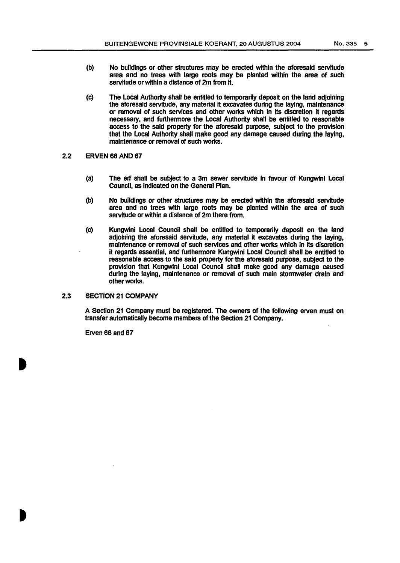- (b) No buildings or other structures may be ereded within the aforesaid servitude area and no trees with large roots may be planted within the area of such servitude or within a distance of 2m from it.
- (c) The Local Authority shall be entitled to temporarily deposit on the land adjoining the aforesaid servitude, any material it excavates during the laying, maintenance or removal of such services and other works which In its discretion it regards necessary, and furthermore the Local Authority shall be entitled to reasonable access to the said property for the aforesaid purpose, subject to the provision that the Local Authority shall make good any damage caused during the laying, maintenance or removal of such works.
- 2.2 ERVEN 66 AND 67
	- (a) The erf shall be subject to a 3m sewer servitude in favour of Kungwlnl Local Council, as Indicated on the General Plan.
	- (b) No buildings or other structures may be ereded within the aforesaid servitude area and no trees with large roots may be planted within the area of such servitude or within a distance of 2m there from.
	- (c) Kungwini Local Council shall be entitled to temporarily deposit on the land adjoining the aforesaid servitude, any material it excavates during the laying, maintenance or removal of such services and other works which In its discretion it regards essential, and furthermore Kungwinl Local Council shall be entitled to reasonable access to the said property for the aforesaid purpose, subject to the provision that Kungwinl Local Council shall make good any damage caused during the laying, maintenance or removal of such main stormwater drain and other works.

#### 2.3 SECTION 21 COMPANY

A Section 21 Company must be registered. The owners of the following erven must on transfer automatically become members of the Section 21 Company.

Erven 66 and 67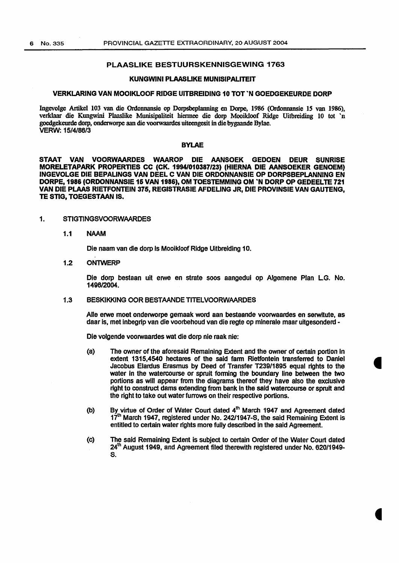#### PLAASLIKE BESTUURSKENNISGEWING 1763

#### KUNGWINI PLAASLIKE MUNISIPALITEIT

#### VERKLARING VAN MOOIKLOOF RIDGE UITBREIDING 10 TOT 'N GOEDGEKEURDE DORP

lngevolge Artikel 103 van die Ordonnansie op Dorpsbeplanning eo Dorpe, 1986 (Ordonnansie IS van 1986), verklaar die Kungwini Plaaslike Munisipaliteit hiermee die dorp Mooikloof Ridge Uitbreiding 10 tot 'n goedgekeurde dorp, onderworpe aan die voorwaardes uiteengesit in die bygaande Bylae. VERW: 15/4/86/3

#### BYLAE

STAAT VAN VOORWAARDES WAAROP DIE AANSOEK GEDOEN DEUR SUNRISE MORELETAPARK PROPERnES CC (CK. 19941010387/23) (HIERNA DIE AANSOEKER GENOEM) INGEVOLGE DIE BEPALINGS VAN DEEL C VAN DIE ORDONNANSIE OP DORPSBEPLANNING EN DORPE, 1986 (ORDONNANSIE 16 VAN 1986), OM TOESTEMMING OM 'N DORP OP GEDEELTE 721 VAN DIE PLAAS RIETFONTEIN 375, REGISTRASIE AFDELING JR, DIE PROVINSIE VAN GAUTENG, TE STIG. TOEGESTAAN IS.

#### 1. STIGTINGSVOORWAARDES

1.1 NAAM

Die naam van die dorp is Mooikloof Ridge Uitbreiding 10.

1.2 ONTWERP

Die dorp bestaan uit erwe en strata soos aangedul op Algemene Plan LG. No. 1496/2004.

#### 1.3 BESKIKKING OOR BESTAANDE TITELVOORWAARDES

Aile erwe moet onderworpe gemaak word aan bestaande voorwaardes en serwltute, as daar is, met inbegrip van die voorbehoud van die regte op minerale maar uitgesonderd -

Die volgende voorwaardes wat die dorp nie raak nie:

- (a) The owner of the aforesaid Remaining Extent and the owner of certain portion In extent 1315,4540 hectares of the said farm Rietfontein transferred to Daniel Jacobus Elardus Erasmus by Deed of Transfer T239/1895 equal rights to the water in the watercourse or spruit forming the boundary line between the two portions as will appear from the diagrams thereof they have also the exduslve right to construct dams extending from bank in the said watercourse or sprult and the right to take out water furrows on their respective portions.
- (b) By virtue of Order of Water Court dated 4<sup>th</sup> March 1947 and Agreement dated 17<sup>th</sup> March 1947, registered under No. 242/1947-S, the said Remaining Extent is entitled to certain water rights more fully described in the said Agreement.
- (c) The said Remaining Extent is subject to certain Order of the Water Court dated 24<sup>th</sup> August 1949, and Agreement filed therewith registered under No. 620/1949-S.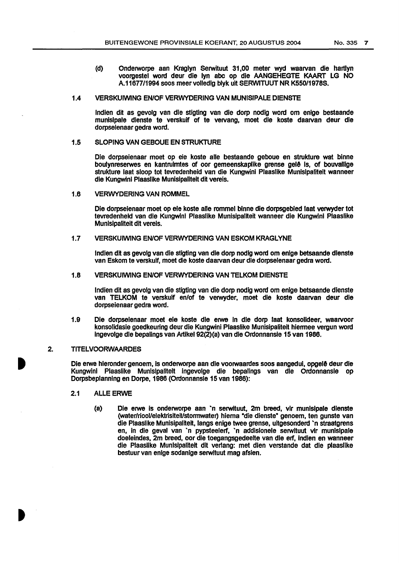(d) Onderworpe aan Kraglyn Serwituut 31,00 meter wyd waarvan die hartlyn voorgestel word deur die lyn abc op die AANGEHEGTE KAART LG NO A.1167711994 soos meer volledlg blyk uit SERWITUUT NR K550/1978S.

#### 1.4 VERSKUIWING EN/OF VERWYDERING VAN MUNISIPALE DIENSTE

Indian dit as gevolg van die stigting van die dorp nodlg word om enlge bestaande munislpale dienste te verskuif of te vervang, moet die koste daarvan deur die dorpselenaar gedra word.

#### 1.5 SLOPING VAN GEBOUE EN STRUKTURE

Die dorpselenaar moet op eie koste aile bestaande geboue en strukture wat blnne boulynreserwes en kantruimtes of oor gemeenskaplike grense gelê is, of bouvallige strukture last sloop tot tevredenheid van die Kungwinl Plaaslike Munlslpaliteit wanneer die Kungwini Plaaslike Munislpalltelt dit vereis.

#### 1.6 VERWYDERING VAN ROMMEL

Die dorpseienaar moet op eie koste alle rommel binne die dorpsgebied laat verwyder tot tevredenheid van die Kungwlni Plaaslike Munisipaiiteit wanneer die Kungwini Plaaslike Munisipaliteit dit vereis.

#### 1.7 VERSKUIWING EN/OF VERWYDERING VAN ESKOM KRAGLYNE

Indian dit as gevolg van die stigting van die dorp nodig word om enlge betsaande dlenste van Eskom te verskuif, moet die koste daarvan deur die dorpselenaar gedra word.

#### 1.8 VERSKUJWJNG EN/OF VERWYDERING VAN TELKOM DIENSTE

Indian dit as gevolg van die stigting van die dorp nodlg word om enlge betsaande dlenste van TELKOM te verskulf en/of te verwyder, moet die koste daarvan deur die dorpseienaar gedra word.

1.9 Ole dorpseienaar moet eie koste die erwe In die dorp laat konsolldeer, waarvoor konsolidasie goedkeuring deur die Kungwini Plaaslike Munisipaliteit hiermee vergun word lngevolge die bepalings van Artikel 92(2)(a) van die Ordonnansie 15 van 1986.

#### 2. TITELVOORWAARDES

Die erwe hieronder genoem, is onderworpe aan die voorwaardes soos aangedui, opgelê deur die Kungwinl Plaaslike Munisipalltelt lngevolge die bepalings van die Ordonnansie op Oorpsbeplanning en Dorpe, 1986 (Ordonnansie 15 van 1986):

- 2.1 ALLE ERWE
	- (a) Die erwe is onderworpe aan ·n serwltuut, 2m breed, vir munlsipale dienste (water/rioollelektrlsiteiVstormwater) hiema •die dienste• genoem, ten gunste van die Plaaslike Munisipaliteit, langs enige twee grense, uitgesonderd ·n straatgrens en, in die geval van `n pypsteelerf, `n addisionele serwituut vir munisipale doeleindes, 2m breed, oor die toegangsgedeelte van die erf, indlen en wanneer die Plaasllke Munlslpalitelt dlt verlang: met dlen verstande dat die plaasllke bestuur van enige sodanige serwituut mag afsien.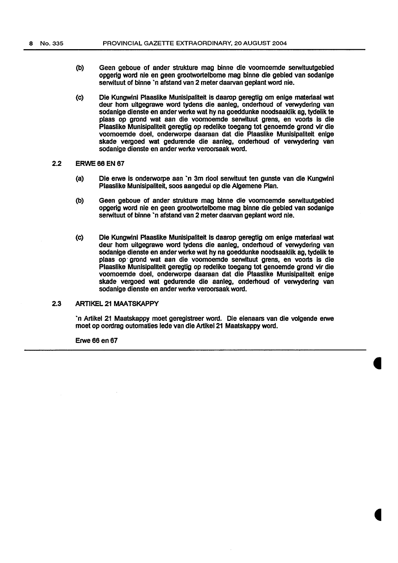- (b) Geen geboue of ander strukture mag binne die voomoemde serwituutgebied opgerig word nle en geen grootwortelbome mag binne die gebied van sodanlge serwituut of binne 'n afstand van 2 meter daarvan geplant word nie.
- (c) Die Kungwini Plaaslike Munisipaliteit is daarop geregtig om enige materiaal wat deur hom uitgegrawe word tydens die aanleg, onderhoud of verwydering van sodanige dienste en ander werke wat hy na goeddunke noodsaaklik ag, tydelik te plaas op grond wat aan die voomoemde serwituut grens, en voorts is die Plaaslike Munisipaliteit geregtig op redelike toegang tot genoemde grond vir die voomoemde doel, onderworpe daaraan dat die Plaaslike Munislpaliteit enige skade vergoed wat gedurende die aanleg, onderhoud of verwydering van sodanige dienste en ander werke veroorsaak word.

#### 2.2 ERWE 66 EN 67

- (a) Ole erwe Is onderworpe aan ·n 3m riool serwltuut ten gunste van die Kungwini Plaasllke Munlslpaliteit, soos aangedul op die Algemene Plan.
- (b) Geen geboue of ander strukture mag blnne die voomoemde serwituutgebied opgerig word nle en geen grootwortelbome mag blnne die gebled van sodanlge serwituut of binne 'n afstand van 2 meter daarvan geplant word nie.
- (c) Die Kungwini Plaaslike Munisipaliteit is daarop geregtig om enige materiaal wat deur hom uitgegrawe word tydens die aanleg, onderhoud of verwydering van sodanige dienste en ander werke wat hy na goeddunke noodsaaklik ag, tydellk te plaas op · grond wat aan die voomoemde serwituut grens, en voorts is die Plaasllke Munlsipaliteit geregtig op redelike toegang tot genoemde grond vir die voomoemde doel, onderworpe daaraan dat die Plaaslike Munislpaliteit enige skade vergoed wat gedurende die aanleg, onderhoud of verwydering van sodanige dienste en ander werke veroorsaak word.

#### 2.3 ARTIKEL 21 MAATSKAPPY

·n Artikel 21 Maatskappy moet gereglstreer word. Die eienaars van die volgende erwe moet op oordrag outomaties lede van die Artikel21 Maatskappy word.

**Erwe 66 en 67**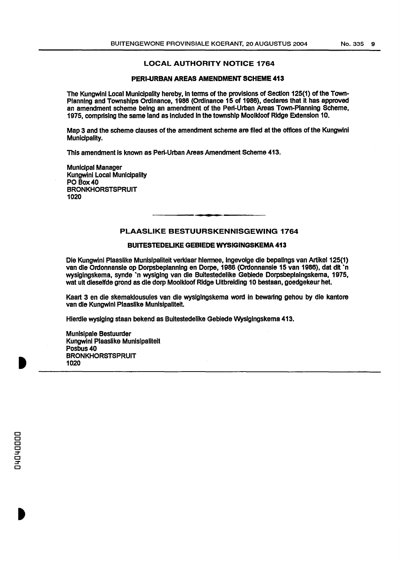#### LOCAL AUTHORITY NOTICE 1764

#### PERI-URBAN AREAS AMENDMENT SCHEME 413

The Kungwini Local Municipality hereby, in terms of the provisions of Section 125(1) of the Town-Planning and Townships Ordinance, 1988 (Ordinance 15 of 1986), declares that It has approved an amendment scheme being an amendment of the Peri-Urban Areas Town-Planning Scheme, 1975, comprising the same land as Included in the township Moolkloof Ridge Extension 10.

Map 3 and the scheme clauses of the amendment scheme are filed at the offices of the Kungwini Municipality.

This amendment is known as Peri-Urban Areas Amendment Scheme 413.

Municipal Manager Kungwini Local Municipality PO Box40 **BRONKHORSTSPRUIT** 1020

#### PLAASLIKE BESTUURSKENNISGEWING 1764

#### BUITESTEDELIKE GEBIEDE WYSIGINGSKEMA 413

Die Kungwini Plaaslike Munisipaliteit verklaar hiermee, ingevolge die bepalings van Artikel 125(1) van die Ordonnansie op Dorpsbeplanning en Dorpe, 1986 (Ordonnansie 15 van 1986), dat dit `n wysigingskema, synde ·n wysiging van die Buitestedelike Geblede Oorpsbeplaingskema, 1975, wat uit dieselfde grond as die dorp Mooikloof Ridge Uitbreiding 10 bestaan, goedgekeur het.

Kaart 3 en die skemaklousules van die wyslglngskema word In bewartng gehou by die kantore van die Kungwini Plaaslike Munisipaliteit.

Hierdle wysiging staan bekend as Bultestedelike Gebiede Wyslgingskema 413.

Munlsipale Bestuurder Kungwini Plaaslike Munisipaliteit Posbus40 BRONKHORSTSPRUIT 1020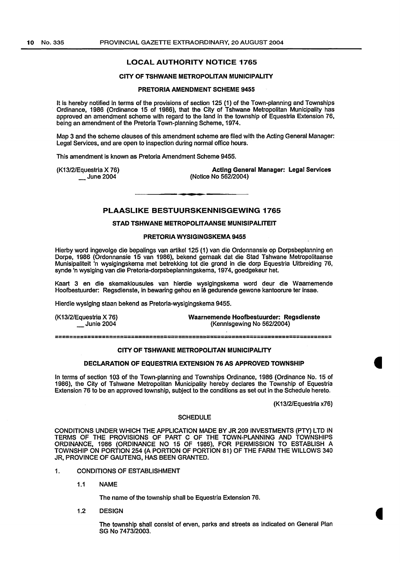#### LOCAL AUTHORITY NOTICE 1765

#### CITY OF TSHWANE METROPOLITAN MUNICIPALITY

#### PRETORIA AMENDMENT SCHEME 9455

It is hereby notified in terms of the provisions of section 125 (1) of the Town-planning and Townships Ordinance, 1986 (Ordinance 15 of 1986), that the City of Tshwane Metropolitan Municipality has approved an amendment scheme with regard to the land in the township of Equestria Extension 76, being an amendment of the Pretoria Town-planning Scheme, 1974.

Map 3 and the scheme clauses of this amendment scheme are filed with the Acting General Manager: Legal Services, and are open to inspection during normal office hours.

This amendment is known as Pretoria Amendment Scheme 9455.

(K13/2/Equestria X 76)  $\_$  June 2004

Acting General Manager: Legal Services (Notice No 562/2004)

#### PLAASLIKE BESTUURSKENNISGEWING 1765

#### STAD TSHWANE METROPOLITAANSE MUNISIPALITEIT

#### PRETORIA WYSIGINGSKEMA 9455

Hierby word ingevolge die bepalings van artikel 125 (1) van die Ordonnansie op Dorpsbeplanning en Dorpe, 1986 (Ordonnansie 15 van 1986), bekend gemaak dat die Stad Tshwane Metropolitaanse Munislpalitelt 'n wysiglngskema met betrekking tot die grond In die dorp Equestria Uitbreiding 76, synde 'n wyslging van die Pretoria-dorpsbeplanningskema, 1974, goedgekeur het.

Kaart 3 en die skemaklousules van hierdie wysiglngskema word deur die Waamemende Hoofbestuurder: Regsdienste, in bewaring gehou en le gedurende gewone kantoorure ter insae.

Hierdie wysiging staan bekend as Pretoria-wyslgingskema 9455.

| (K13/2/Equestria X 76) | Waarnemende Hoofbestuurder: Regsdienste |
|------------------------|-----------------------------------------|
| <b>Junie 2004</b>      | (Kennisgewing No 562/2004)              |
|                        |                                         |

=============================================================================

#### CITY OF TSHWANE METROPOLITAN MUNICIPALITY

#### DECLARATION OF EQUESTRIA EXTENSION 76 AS APPROVED TOWNSHIP

In terms of section 103 of the Town-planning and Townships Ordinance, 1986 (Ordinance No. 15 of 1986), the City of Tshwane Metropolitan Municipality hereby declares the Township of Equestria Extension 76 to be an approved township, subject to the conditions as set out in the Schedule hereto.

(K13/2/Equestria x76)

#### **SCHEDULE**

CONDITIONS UNDER WHICH THE APPLICATION MADE BY JR 209 INVESTMENTS (PTY) LTD IN TERMS OF THE PROVISIONS OF PART C OF THE TOWN-PLANNING AND TOWNSHIPS ORDINANCE, 1986 (ORDINANCE NO 15 OF 1986), FOR PERMISSION TO ESTABLISH A TOWNSHIP ON PORTION 254 (A PORTION OF PORTION 81) OF THE FARM THE WILLOWS 340 JR, PROVINCE OF GAUTENG, HAS BEEN GRANTED.

- 1. CONDITIONS OF ESTABLISHMENT
	- 1.1 NAME

The name of the township shall be Equestria Extension 76.

1.2 DESIGN

The township shall consist of erven, parks and streets as indicated on General Plan SG No 7473/2003.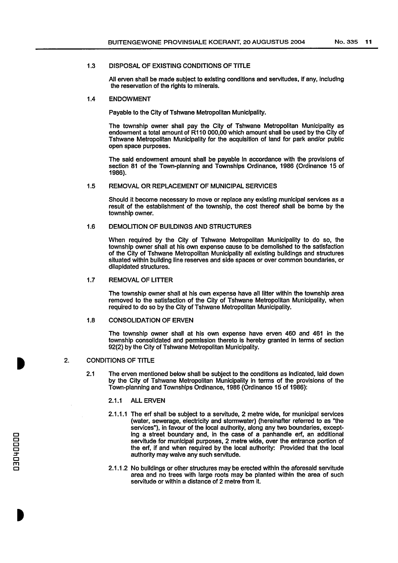#### 1.3 DISPOSAL OF EXISTING CONDITIONS OF TITLE

All erven shall be made subject to existing conditions and servitudes, If any, Including the reservation of the rights to minerals.

#### 1.4 ENDOWMENT

Payable to the City of Tshwane Metropolitan Municipality.

The township owner shall pay the City of Tshwane Metropolitan Municipality as endowment a total amount of R110 000,00 which amount shall be used by the City of Tshwane Metropolitan Municipality for the acquisition of land for park and/or public open space purposes.

The said endowment amount shall be payable in accordance with the provisions of section 81 of the Town-planning and Townships Ordinance, 1986 (Ordinance 15 of 1986).

#### 1.5 REMOVAL OR REPLACEMENT OF MUNICIPAL SERVICES

Should it become necessary to move or replace any existing municipal services as a result of the establishment of the township, the cost thereof shall be borne by the township owner.

#### 1.6 DEMOLITION OF BUILDINGS AND STRUCTURES

When required by the City of Tshwane Metropolitan Municipality to do so, the township owner shall at his own expense cause to be demolished to the satisfaction of the City of Tshwane Metropolitan Municipality all existing buildings and structures situated within building line reserves and side spaces or over common boundaries, or dilapidated structures.

#### 1.7 REMOVAL OF LITTER

The township owner shall at his own expense have all litter within the township area removed to the satisfaction of the City of Tshwane Metropolitan Municipality, when required to do so by the City of Tshwane Metropolitan Municipality.

#### 1.8 CONSOLIDATION OF ERVEN

The township owner shall at his own expense have erven 460 and 461 in the township consolidated and permission thereto is hereby granted in terms of section 92(2) by the City of Tshwane Metropolitan Municipality.

#### 2. CONDITIONS OF TITLE

- 2.1 The erven mentioned below shall be subject to the conditions as Indicated, laid down by the City of Tshwane Metropolitan Municipality in terms of the provisions of the Town-planning and Townships Ordinance, 1986 (Ordinance 15 of 1986):
	- 2.1.1 ALL ERVEN
	- 2.1.1.1 The erf shall be subject to a servitude, 2 metre wide, for municipal services (water, sewerage, electricity and stormwater) (hereinafter referred to as "the services"), in favour of the local authority, along any two boundaries, excepting a street boundary and, in the case of a panhandle erf, an additional servitude for municipal purposes, 2 metre wide, over the entrance portion of the erf, if and when required by the local authority: Provided that the local authority may waive any such servitude.
	- 2.1.1.2 No buildings or other structures may be erected within the aforesaid servitude area and no trees with large roots may be planted within the area of such servitude or within a distance of 2 metre from it.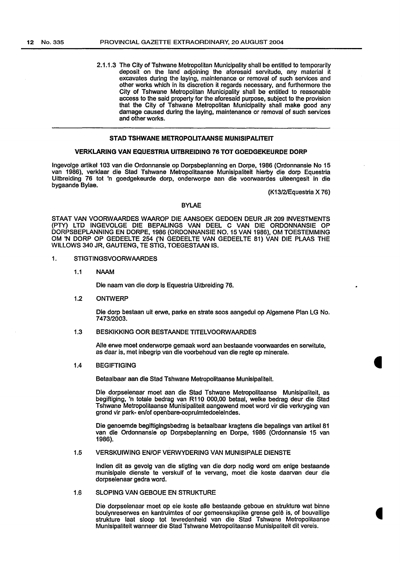2.1.1.3 The City of Tshwane Metropolitan Municipality shall be entitled to temporarily deposit on the land adjoining the aforesaid servitude, any material it excavates during the laying, maintenance or removal of such services and other works which in its discretion it regards necessary, and furthermore the City of Tshwane Metropolitan Municipality shall be entitled to reasonable access to the said property for the aforesaid purpose, subject to the provision that the City of Tshwane Metropolitan Municipality shall make good any damage caused during the laying, maintenance or removal of such services and other works.

#### STAD TSHWANE METROPOLITAANSE MUNISIPALITEIT

#### VERKLARING VAN EQUESTRIA UITBREIDING 76 TOT GOEDGEKEURDE DORP

Ingevolge artikel 103 van die Ordonnansie op Dorpsbeplanning en Dorpe, 1986 (Ordonnansie No 15 van 1986), verklaar die Stad Tshwane Metropolitaanse Munisipaliteit hierby die dorp Equestria Uitbreiding 76 tot 'n goedgekeurde dorp, onderworpe aan die voorwaardes uiteengesit in die bygaande Bylae.

(K13/2/Equestria X 76)

#### BYLAE

STAAT VAN VOORWAARDES WAAROP DIE AANSOEK GEDOEN DEUR JR 209 INVESTMENTS (PTY) LTD INGEVOLGE DIE BEPALINGS VAN DEEL C VAN DIE ORDONNANSIE OP DORPSBEPLANNING EN DORPE, 1986 (ORDONNANSIE N0.15 VAN 1986), OM TOESTEMMING OM 'N DORP OP GEDEELTE 254 ('N GEDEELTE VAN GEDEELTE 81) VAN DIE PLAAS THE WILLOWS 340 JR, GAUTENG, TE STIG, TOEGESTAAN IS.

- 1. STIGTINGSVOORW AARDES
	- 1.1 NAAM

Die naam van die dorp is Equestria Uitbreiding 76.

1.2 ONTWERP

Ole dorp bestaan uit erwe, parke en strate soos aangedui op Algemene Plan LG No. 7473/2003.

#### 1.3 BESKIKKING OOR BESTAANDE TITELVOORWAARDES

Aile erwe moet onderworpe gemaak word aan bestaande voorwaardes en serwitute, as daar is, met inbegrip van die voorbehoud van die regte op minerale.

#### 1.4 BEGIFTIGING

Betaalbaar aan die Stad Tshwane Metropolitaanse Munisipaliteit.

Die dorpseienaar moet aan die Stad Tshwane Metropolitaanse Munisipaliteit, as begiftiging, 'n totale bedrag van R110 000,00 betaal, welke bedrag deur die Stad Tshwane Metropolitaanse Munisipaliteit aangewend moet word vir die verkryging van grond vir park- en/of openbare-oopruimtedoeleindes.

Die genoemde begiftigingsbedrag is betaalbaar kragtens die bepalings van artikel 81 van die Ordonnansie op Dorpsbeplanning en Dorpe, 1986 (Ordonnansie 15 van 1986).

#### 1.5 VERSKUIWING EN/OF VERWYDERING VAN MUNISIPALE DIENSTE

lndien dit as gevolg van die stlgting van die dorp nodig word om enige bestaande munisipale dienste te verskuif of te vervang, moet die koste daarvan deur die dorpseienaar gedra word.

#### 1.6 SLOPING VAN GEBOUE EN STRUKTURE

Die dorpseienaar moet op eie koste aile bestaande geboue en strukture wat binne boulynreserwes en kantruimtes of oor gemeenskaplike grense gelê is, of bouvallige strukture laat sloop tot tevredenheid van die Stad Tshwane Metropolitaanse Munisipaliteit wanneer die Stad Tshwane Metropolitaanse Munisipaliteit dit vereis.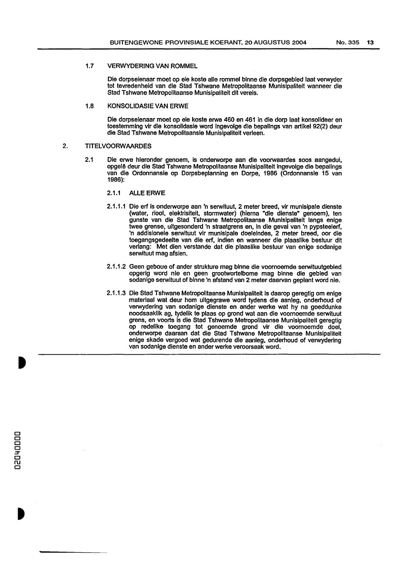#### 1.7 VERWYDERING VAN ROMMEL

Die dorpseienaar moet op eie koste aile rommel binne die dorpsgebied laat verwyder tot tevredenheid van die Stad Tshwane Metropolitaanse Munisipaliteit wanneer die Stad Tshwane Metropolitaanse Munisipaliteit dit vereis.

#### 1.8 KONSOLIDASIE VAN ERWE

Die dorpseienaar moet op eie koste erwe 460 en 461 in die dorp laat konsolideer en toestemming vir die konsolidasie word lngevolge die bepallngs van artikel 92(2) deur die Stad Tshwane Metropolitaansie Munisipaliteit verleen.

#### 2. TITELVOORW AARDES

2.1 Die erwe hleronder genoem, is onderworpe aan die voorwaardes soos aangedui, opgelê deur die Stad Tshwane Metropolitaanse Munisipaliteit ingevolge die bepalings van die Ordonnansle op Dorpsbeplanning en Dorpe, 1986 (Ordonnansle 15 van 1986):

#### 2.1.1 ALLE ERWE

- 2.1.1.1 Die erf is onderworpe aan 'n serwituut, 2 meter breed, vir munisipale dienste (water, riool, elektrisiteit, stormwater) (hiema "die dienste" genoem), ten gunste van die Stad Tshwane Metropolitaanse Munisipaliteit langs enige twee grense, uitgesonderd 'n straatgrens en, in die geval van 'n pypsteelerf, 'n addlsionele serwituut vir munlsipale doeleindes, 2 meter breed, oor die toegangsgedeelte van die erf, indien en wanneer die plaaslike bestuur dit verlang: Met dien verstande dat die plaaslike bestuur van enige sodanige serwituut mag afsien.
- 2.1.1.2 Geen geboue of ander strukture mag blnne die voornoemde serwituutgebled opgerlg word nie en geen grootwortelbome mag binne die gebled van sodanlge serwituut of blnne 'n afstand van 2 meter daarvan geplant word nle.
- 2.1.1.3 Ole Stad Tshwane Metropolitaanse Munlsipaliteit Is daarop geregtlg om enige materiaal wat deur hom uitgegrawe word tydens die aanleg, onderhoud of verwydering van sodanige dienste en ander werke wat hy na goeddunke noodsaakllk ag, tydelik te plaas op grond wat aan die voomoemde serwituut grens, en voorts is die Stad Tshwane Metropolitaanse Munisipalitelt geregtig op redelike toegang tot genoemde grond vir die voomoemde doel, onderworpe daaraan dat die Stad Tshwane Metropolltaanse Munislpaliteit enige skade vergoed wat gedurende die aanleg, onderhoud of verwydering van sodanlge dienste en ander werke veroorsaak word.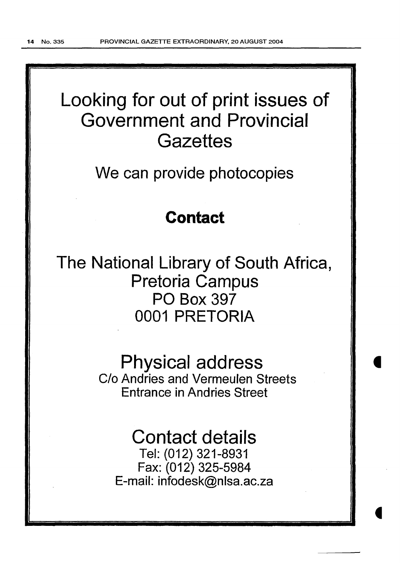## Looking for out of print issues of Government and Provincial **Gazettes**

We can provide photocopies

### **Contact**

The National Library of South Africa, Pretoria Campus PO Box 397 0001 PRETORIA

# Physical address

C/o Andries and Vermeulen Streets Entrance in Andries Street

## Contact details

Tel: (012) 321-8931 Fax: (012) 325-5984 E-mail: infodesk@nlsa.ac.za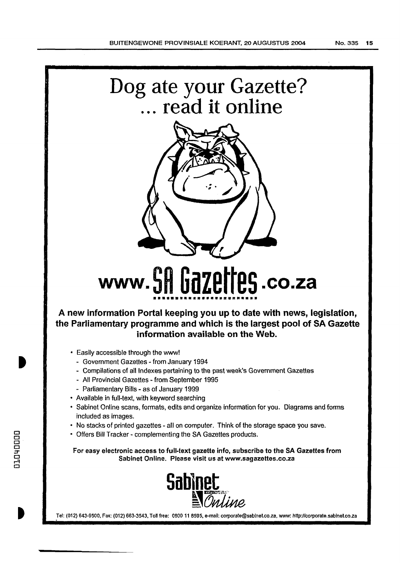



# **www. SH Gazettes .co.za**

**A new information Portal keeping you up to date with news, legislation, the Parliamentary programme and which is the largest pool of SA Gazette information available on the Web.** 

- Easily accessible through the www!
	- Government Gazettes -from January 1994
	- Compilations of all Indexes pertaining to the past week's Government Gazettes
	- All Provincial Gazettes- from September 1995
	- Parliamentary Bills as of January 1999
- Available in full-text, with keyword searching
- Sabinet Online scans, formats, edits and organize information for you. Diagrams and forms included as images.
- No stacks of printed gazettes- all on computer. Think of the storage space you save.
- Offers Bill Tracker- complementing the SA Gazettes products.

For easy electronic access to full-text gazette info, subscribe to the SA Gazettes from Sabinet Online. Please visit us at www.sagazettes.co.za



Tel: (012) 643-9500, Fax: (012) 663-3543, Toll free: 0600 11 8595, e-mail: corporate@sablnet.co.za, www: http://corporate.sabinet.co.za